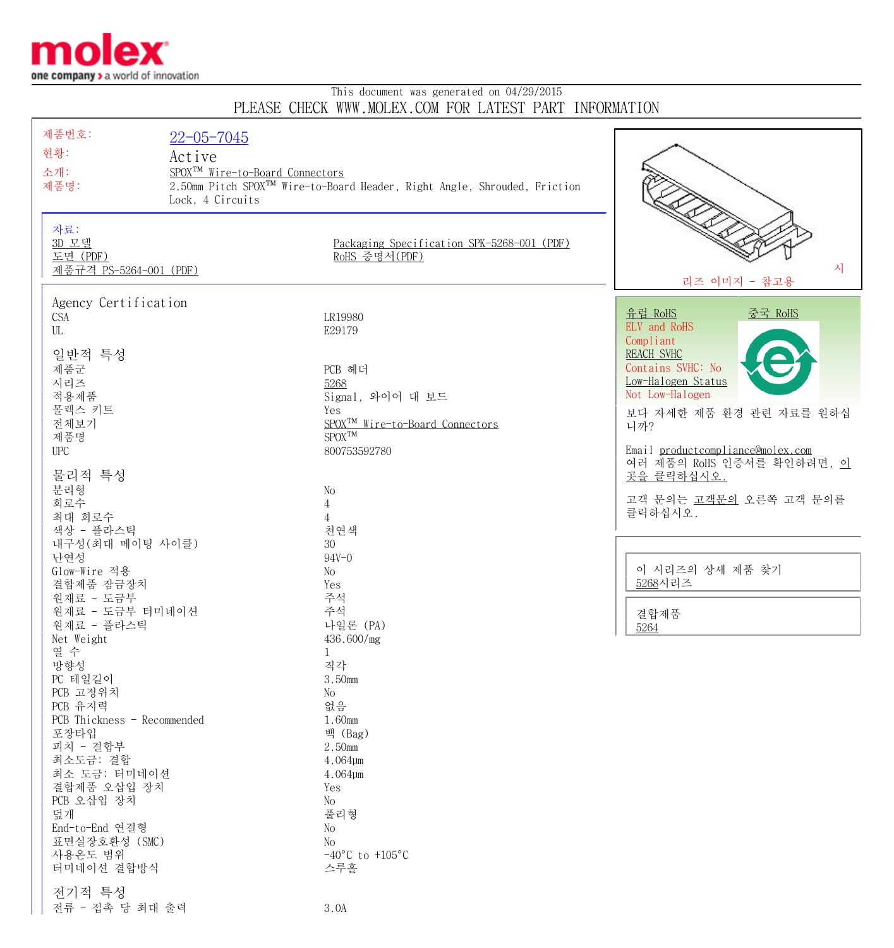

## This document was generated on 04/29/2015 PLEASE CHECK WWW.MOLEX.COM FOR LATEST PART INFORMATION

| 제품번호:                              | $22 - 05 - 7045$                                                                     |                                             |                                       |
|------------------------------------|--------------------------------------------------------------------------------------|---------------------------------------------|---------------------------------------|
| 현황:                                | Active                                                                               |                                             |                                       |
| 소개:                                | SPOX <sup>TM</sup> Wire-to-Board Connectors                                          |                                             |                                       |
| 제품명:                               | 2.50mm Pitch SPOX <sup>™</sup> Wire-to-Board Header, Right Angle, Shrouded, Friction |                                             |                                       |
|                                    | Lock, 4 Circuits                                                                     |                                             |                                       |
|                                    |                                                                                      |                                             |                                       |
| 자료:                                |                                                                                      |                                             |                                       |
| 3D 모델                              |                                                                                      | Packaging Specification SPK-5268-001 (PDF)  |                                       |
| 도면 (PDF)<br>제품규격 PS-5264-001 (PDF) |                                                                                      | RoHS 증명서(PDF)                               | 사                                     |
|                                    |                                                                                      |                                             | 리즈 이미지 - 참고용                          |
| Agency Certification               |                                                                                      |                                             |                                       |
| CSA                                |                                                                                      | LR19980                                     | <u>유럽 RoHS</u><br><u>중국 RoHS</u>      |
| UL                                 |                                                                                      | E29179                                      | ELV and RoHS                          |
|                                    |                                                                                      |                                             | Compliant                             |
| 일반적 특성                             |                                                                                      |                                             | REACH SVHC                            |
| 제품군                                |                                                                                      | PCB 헤더                                      | Contains SVHC: No                     |
| 시리즈<br>적용제품                        |                                                                                      | 5268<br>Signal, 와이어 대 보드                    | Low-Halogen Status<br>Not Low-Halogen |
| 몰렉스 키트                             |                                                                                      | Yes                                         |                                       |
| 전체보기                               |                                                                                      | SPOX <sup>TM</sup> Wire-to-Board Connectors | 보다 자세한 제품 환경 관련 자료를 원하십<br>니까?        |
| 제품명                                |                                                                                      | $SPOX^{TM}$                                 |                                       |
| <b>UPC</b>                         |                                                                                      | 800753592780                                | Email productcompliance@molex.com     |
|                                    |                                                                                      |                                             | 여러 제품의 RoHS 인증서를 확인하려면, 이             |
| 물리적 특성<br>분리형                      |                                                                                      | No                                          | 곳을 클릭하십시오.                            |
| 회로수                                |                                                                                      | $\overline{4}$                              | 고객 문의는 고객문의 오른쪽 고객 문의를                |
| 최대 회로수                             |                                                                                      | $\overline{4}$                              | 클릭하십시오.                               |
| 색상 - 플라스틱                          |                                                                                      | 천연색                                         |                                       |
| 내구성 (최대 메이팅 사이클)                   |                                                                                      | 30                                          |                                       |
| 난연성                                |                                                                                      | $94V - 0$                                   |                                       |
| Glow-Wire 적용                       |                                                                                      | No                                          | 이 시리즈의 상세 제품 찾기<br>5268시리즈            |
| 결합제품 잠금장치<br>원재료 - 도금부             |                                                                                      | Yes<br>주석                                   |                                       |
| 원재료 - 도금부 터미네이션                    |                                                                                      | 주석                                          | 결합제품                                  |
| 원재료 - 플라스틱                         |                                                                                      | 나일론 (PA)                                    | 5264                                  |
| Net Weight                         |                                                                                      | 436.600/mg                                  |                                       |
| 열 수                                |                                                                                      | 1                                           |                                       |
| 방향성                                |                                                                                      | 직각                                          |                                       |
| PC 테일길이<br>PCB 고정위치                |                                                                                      | 3.50mm<br>No                                |                                       |
| PCB 유지력                            |                                                                                      | 없음                                          |                                       |
| PCB Thickness - Recommended        |                                                                                      | 1.60mm                                      |                                       |
| 포장타입                               |                                                                                      | 백 (Bag)                                     |                                       |
| 피치 - 결합부                           |                                                                                      | 2.50mm                                      |                                       |
| 최소도금: 결합                           |                                                                                      | $4.064 \mu m$                               |                                       |
| 최소 도금: 터미네이션                       |                                                                                      | $4.064 \mu m$                               |                                       |
| 결합제품 오삽입 장치<br>PCB 오삽입 장치          |                                                                                      | Yes<br>No                                   |                                       |
| 덮개                                 |                                                                                      | 풀리형                                         |                                       |
| End-to-End 연결형                     |                                                                                      | No                                          |                                       |
| 표면실장호환성 (SMC)                      |                                                                                      | No                                          |                                       |
| 사용온도 범위                            |                                                                                      | $-40^{\circ}$ C to $+105^{\circ}$ C         |                                       |
| 터미네이션 결합방식                         |                                                                                      | 스루홀                                         |                                       |
| 전기적 특성                             |                                                                                      |                                             |                                       |
| 전류 - 접촉 당 최대 출력                    |                                                                                      | 3.0A                                        |                                       |